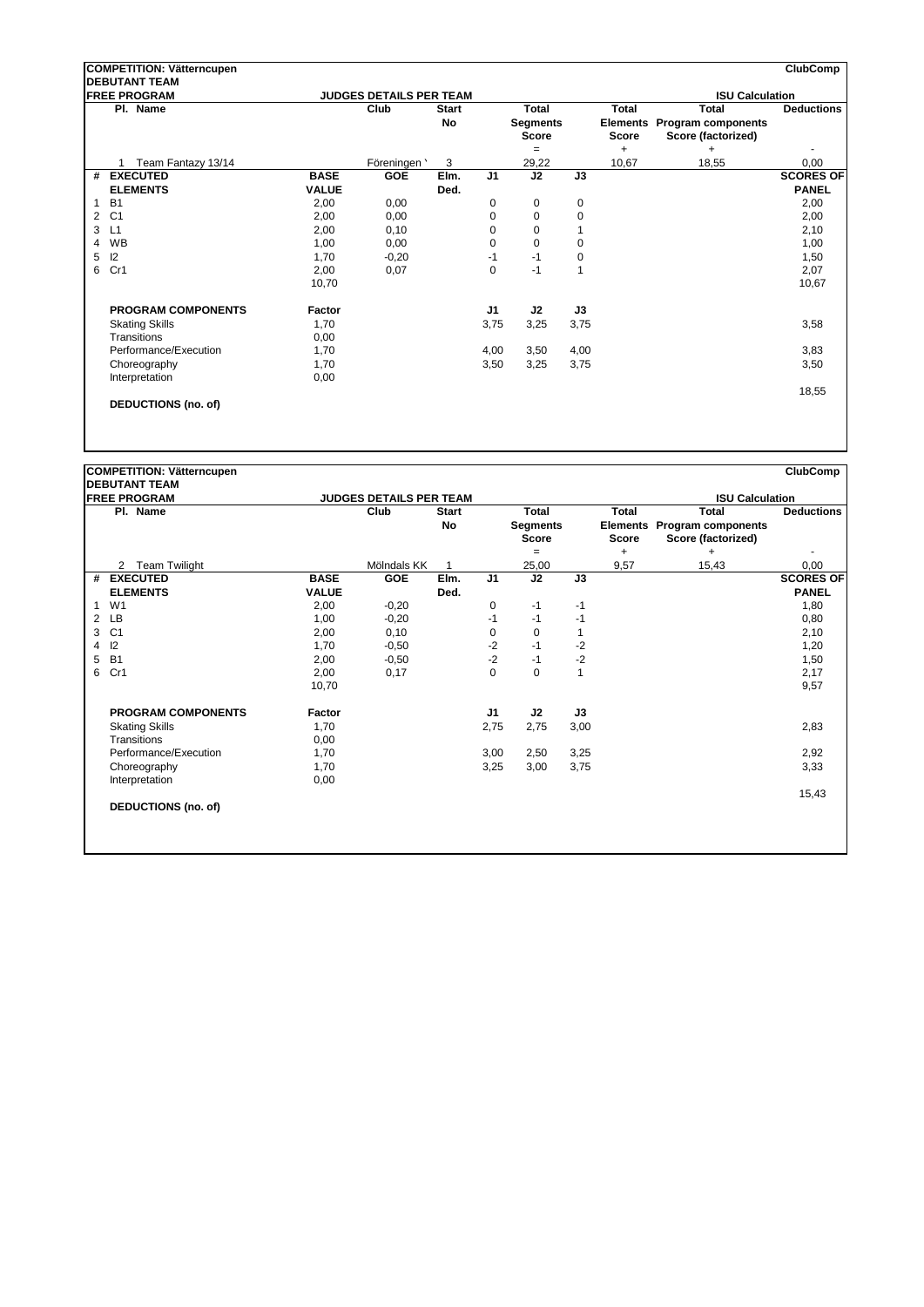| <b>COMPETITION: Vätterncupen</b> |                            |              |                                |              |                |             | <b>ClubComp</b> |           |                             |                   |  |
|----------------------------------|----------------------------|--------------|--------------------------------|--------------|----------------|-------------|-----------------|-----------|-----------------------------|-------------------|--|
| <b>DEBUTANT TEAM</b>             |                            |              |                                |              |                |             |                 |           |                             |                   |  |
| <b>FREE PROGRAM</b>              |                            |              | <b>JUDGES DETAILS PER TEAM</b> |              |                |             |                 |           | <b>ISU Calculation</b>      |                   |  |
|                                  | Pl. Name                   |              | Club                           | <b>Start</b> |                | Total       |                 | Total     | <b>Total</b>                | <b>Deductions</b> |  |
|                                  |                            |              |                                | <b>No</b>    |                | Segments    |                 |           | Elements Program components |                   |  |
|                                  |                            |              |                                |              |                | Score       |                 | Score     | Score (factorized)          |                   |  |
|                                  |                            |              |                                |              |                | $=$         |                 | $\ddot{}$ | $\ddot{}$                   |                   |  |
|                                  | Team Fantazy 13/14         |              | Föreningen '                   | 3            |                | 29,22       |                 | 10,67     | 18,55                       | 0,00              |  |
| #                                | <b>EXECUTED</b>            | <b>BASE</b>  | <b>GOE</b>                     | Elm.         | J <sub>1</sub> | J2          | J3              |           |                             | <b>SCORES OF</b>  |  |
|                                  | <b>ELEMENTS</b>            | <b>VALUE</b> |                                | Ded.         |                |             |                 |           |                             | <b>PANEL</b>      |  |
| 1                                | <b>B1</b>                  | 2,00         | 0,00                           |              | 0              | 0           | 0               |           |                             | 2,00              |  |
| $\overline{2}$                   | C <sub>1</sub>             | 2,00         | 0,00                           |              | 0              | 0           | 0               |           |                             | 2,00              |  |
| 3                                | L1                         | 2,00         | 0,10                           |              | $\mathbf 0$    | 0           | 1               |           |                             | 2,10              |  |
| 4                                | <b>WB</b>                  | 1,00         | 0,00                           |              | $\mathbf 0$    | $\mathbf 0$ | 0               |           |                             | 1,00              |  |
| 5                                | 12                         | 1,70         | $-0,20$                        |              | $-1$           | $-1$        | 0               |           |                             | 1,50              |  |
| 6                                | Cr1                        | 2,00         | 0,07                           |              | 0              | $-1$        | 1               |           |                             | 2,07              |  |
|                                  |                            | 10,70        |                                |              |                |             |                 |           |                             | 10,67             |  |
|                                  |                            |              |                                |              |                |             |                 |           |                             |                   |  |
|                                  | <b>PROGRAM COMPONENTS</b>  | Factor       |                                |              | J1             | J2          | J3              |           |                             |                   |  |
|                                  | <b>Skating Skills</b>      | 1,70         |                                |              | 3,75           | 3,25        | 3,75            |           |                             | 3,58              |  |
|                                  | Transitions                | 0,00         |                                |              |                |             |                 |           |                             |                   |  |
|                                  | Performance/Execution      | 1,70         |                                |              | 4,00           | 3,50        | 4,00            |           |                             | 3,83              |  |
|                                  | Choreography               | 1,70         |                                |              | 3,50           | 3,25        | 3,75            |           |                             | 3,50              |  |
|                                  | Interpretation             | 0,00         |                                |              |                |             |                 |           |                             |                   |  |
|                                  |                            |              |                                |              |                |             |                 |           |                             | 18,55             |  |
|                                  | <b>DEDUCTIONS (no. of)</b> |              |                                |              |                |             |                 |           |                             |                   |  |

|                                 | <b>COMPETITION: Vätterncupen</b> |                                        |             |              |                |                                 |              |              |                                                   | <b>ClubComp</b>   |
|---------------------------------|----------------------------------|----------------------------------------|-------------|--------------|----------------|---------------------------------|--------------|--------------|---------------------------------------------------|-------------------|
|                                 | <b>IDEBUTANT TEAM</b>            |                                        |             |              |                |                                 |              |              |                                                   |                   |
| <b>FREE PROGRAM</b><br>Pl. Name |                                  | <b>JUDGES DETAILS PER TEAM</b><br>Club |             | <b>Start</b> |                | Total                           |              | <b>Total</b> | <b>ISU Calculation</b><br><b>Total</b>            | <b>Deductions</b> |
|                                 |                                  |                                        |             | No           |                | <b>Segments</b><br><b>Score</b> |              | <b>Score</b> | Elements Program components<br>Score (factorized) |                   |
|                                 |                                  |                                        |             |              |                | $=$                             |              | +            | $\ddot{}$                                         |                   |
|                                 | <b>Team Twilight</b><br>2        |                                        | Mölndals KK |              |                | 25,00                           |              | 9,57         | 15,43                                             | 0,00              |
| #                               | <b>EXECUTED</b>                  | <b>BASE</b>                            | GOE         | Elm.         | J <sub>1</sub> | J2                              | J3           |              |                                                   | <b>SCORES OF</b>  |
|                                 | <b>ELEMENTS</b>                  | <b>VALUE</b>                           |             | Ded.         |                |                                 |              |              |                                                   | <b>PANEL</b>      |
| $\mathbf{1}$                    | W <sub>1</sub>                   | 2,00                                   | $-0,20$     |              | 0              | $-1$                            | $-1$         |              |                                                   | 1,80              |
| $\overline{2}$                  | LB                               | 1,00                                   | $-0,20$     |              | $-1$           | $-1$                            | -1           |              |                                                   | 0,80              |
| 3                               | C <sub>1</sub>                   | 2,00                                   | 0,10        |              | 0              | 0                               | 1            |              |                                                   | 2,10              |
| 4                               | 12                               | 1,70                                   | $-0.50$     |              | $-2$           | $-1$                            | $-2$         |              |                                                   | 1,20              |
| 5                               | <b>B1</b>                        | 2,00                                   | $-0,50$     |              | $-2$           | $-1$                            | $-2$         |              |                                                   | 1,50              |
| 6                               | Cr1                              | 2,00                                   | 0,17        |              | 0              | $\pmb{0}$                       | $\mathbf{1}$ |              |                                                   | 2,17              |
|                                 |                                  | 10,70                                  |             |              |                |                                 |              |              |                                                   | 9,57              |
|                                 | <b>PROGRAM COMPONENTS</b>        | Factor                                 |             |              | J1             | J2                              | J3           |              |                                                   |                   |
|                                 | <b>Skating Skills</b>            | 1,70                                   |             |              | 2,75           | 2,75                            | 3,00         |              |                                                   | 2,83              |
|                                 | Transitions                      | 0,00                                   |             |              |                |                                 |              |              |                                                   |                   |
|                                 | Performance/Execution            | 1,70                                   |             |              | 3,00           | 2,50                            | 3,25         |              |                                                   | 2,92              |
|                                 | Choreography                     | 1,70                                   |             |              | 3,25           | 3,00                            | 3,75         |              |                                                   | 3,33              |
|                                 | Interpretation                   | 0,00                                   |             |              |                |                                 |              |              |                                                   |                   |
|                                 |                                  |                                        |             |              |                |                                 |              |              |                                                   | 15,43             |
|                                 | <b>DEDUCTIONS (no. of)</b>       |                                        |             |              |                |                                 |              |              |                                                   |                   |
|                                 |                                  |                                        |             |              |                |                                 |              |              |                                                   |                   |
|                                 |                                  |                                        |             |              |                |                                 |              |              |                                                   |                   |